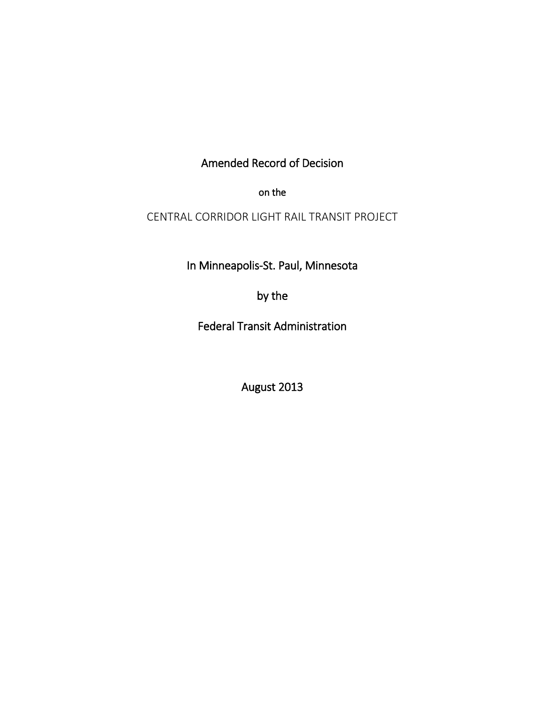# Amended Record of Decision

on the

CENTRAL CORRIDOR LIGHT RAIL TRANSIT PROJECT

In Minneapolis-St. Paul, Minnesota

by the

Federal Transit Administration

August 2013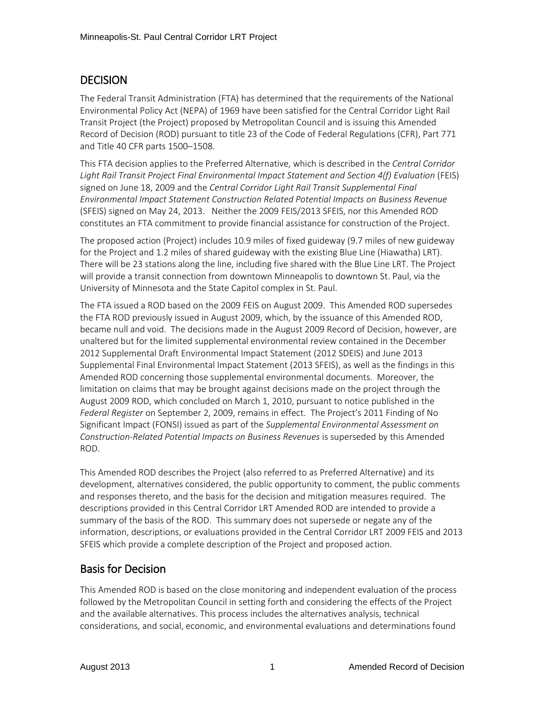## **DECISION**

The Federal Transit Administration (FTA) has determined that the requirements of the National Environmental Policy Act (NEPA) of 1969 have been satisfied for the Central Corridor Light Rail Transit Project (the Project) proposed by Metropolitan Council and is issuing this Amended Record of Decision (ROD) pursuant to title 23 of the Code of Federal Regulations (CFR), Part 771 and Title 40 CFR parts 1500–1508.

This FTA decision applies to the Preferred Alternative, which is described in the *Central Corridor Light Rail Transit Project Final Environmental Impact Statement and Section 4(f) Evaluation* (FEIS) signed on June 18, 2009 and the *Central Corridor Light Rail Transit Supplemental Final Environmental Impact Statement Construction Related Potential Impacts on Business Revenue*  (SFEIS) signed on May 24, 2013. Neither the 2009 FEIS/2013 SFEIS, nor this Amended ROD constitutes an FTA commitment to provide financial assistance for construction of the Project.

The proposed action (Project) includes 10.9 miles of fixed guideway (9.7 miles of new guideway for the Project and 1.2 miles of shared guideway with the existing Blue Line (Hiawatha) LRT). There will be 23 stations along the line, including five shared with the Blue Line LRT. The Project will provide a transit connection from downtown Minneapolis to downtown St. Paul, via the University of Minnesota and the State Capitol complex in St. Paul.

The FTA issued a ROD based on the 2009 FEIS on August 2009. This Amended ROD supersedes the FTA ROD previously issued in August 2009, which, by the issuance of this Amended ROD, became null and void. The decisions made in the August 2009 Record of Decision, however, are unaltered but for the limited supplemental environmental review contained in the December 2012 Supplemental Draft Environmental Impact Statement (2012 SDEIS) and June 2013 Supplemental Final Environmental Impact Statement (2013 SFEIS), as well as the findings in this Amended ROD concerning those supplemental environmental documents. Moreover, the limitation on claims that may be brought against decisions made on the project through the August 2009 ROD, which concluded on March 1, 2010, pursuant to notice published in the *Federal Register* on September 2, 2009, remains in effect. The Project's 2011 Finding of No Significant Impact (FONSI) issued as part of the *Supplemental Environmental Assessment on Construction-Related Potential Impacts on Business Revenues* is superseded by this Amended ROD.

This Amended ROD describes the Project (also referred to as Preferred Alternative) and its development, alternatives considered, the public opportunity to comment, the public comments and responses thereto, and the basis for the decision and mitigation measures required. The descriptions provided in this Central Corridor LRT Amended ROD are intended to provide a summary of the basis of the ROD. This summary does not supersede or negate any of the information, descriptions, or evaluations provided in the Central Corridor LRT 2009 FEIS and 2013 SFEIS which provide a complete description of the Project and proposed action.

## Basis for Decision

This Amended ROD is based on the close monitoring and independent evaluation of the process followed by the Metropolitan Council in setting forth and considering the effects of the Project and the available alternatives. This process includes the alternatives analysis, technical considerations, and social, economic, and environmental evaluations and determinations found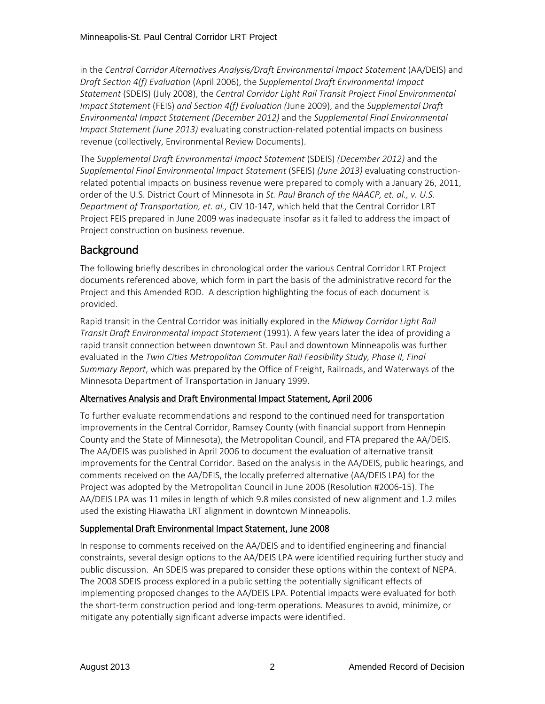in the *Central Corridor Alternatives Analysis/Draft Environmental Impact Statement* (AA/DEIS) and *Draft Section 4(f) Evaluation* (April 2006), the *Supplemental Draft Environmental Impact Statement* (SDEIS) (July 2008), the *Central Corridor Light Rail Transit Project Final Environmental Impact Statement* (FEIS) *and Section 4(f) Evaluation (*June 2009), and the *Supplemental Draft Environmental Impact Statement (December 2012)* and the *Supplemental Final Environmental Impact Statement (June 2013)* evaluating construction-related potential impacts on business revenue (collectively, Environmental Review Documents).

The *Supplemental Draft Environmental Impact Statement* (SDEIS) *(December 2012)* and the *Supplemental Final Environmental Impact Statement* (SFEIS) *(June 2013)* evaluating constructionrelated potential impacts on business revenue were prepared to comply with a January 26, 2011, order of the U.S. District Court of Minnesota in *St. Paul Branch of the NAACP, et. al., v. U.S. Department of Transportation, et. al.,* CIV 10-147, which held that the Central Corridor LRT Project FEIS prepared in June 2009 was inadequate insofar as it failed to address the impact of Project construction on business revenue.

## **Background**

The following briefly describes in chronological order the various Central Corridor LRT Project documents referenced above, which form in part the basis of the administrative record for the Project and this Amended ROD. A description highlighting the focus of each document is provided.

Rapid transit in the Central Corridor was initially explored in the *Midway Corridor Light Rail Transit Draft Environmental Impact Statement* (1991). A few years later the idea of providing a rapid transit connection between downtown St. Paul and downtown Minneapolis was further evaluated in the *Twin Cities Metropolitan Commuter Rail Feasibility Study, Phase II, Final Summary Report*, which was prepared by the Office of Freight, Railroads, and Waterways of the Minnesota Department of Transportation in January 1999.

### Alternatives Analysis and Draft Environmental Impact Statement, April 2006

To further evaluate recommendations and respond to the continued need for transportation improvements in the Central Corridor, Ramsey County (with financial support from Hennepin County and the State of Minnesota), the Metropolitan Council, and FTA prepared the AA/DEIS. The AA/DEIS was published in April 2006 to document the evaluation of alternative transit improvements for the Central Corridor. Based on the analysis in the AA/DEIS, public hearings, and comments received on the AA/DEIS, the locally preferred alternative (AA/DEIS LPA) for the Project was adopted by the Metropolitan Council in June 2006 (Resolution #2006-15). The AA/DEIS LPA was 11 miles in length of which 9.8 miles consisted of new alignment and 1.2 miles used the existing Hiawatha LRT alignment in downtown Minneapolis.

### Supplemental Draft Environmental Impact Statement, June 2008

In response to comments received on the AA/DEIS and to identified engineering and financial constraints, several design options to the AA/DEIS LPA were identified requiring further study and public discussion. An SDEIS was prepared to consider these options within the context of NEPA. The 2008 SDEIS process explored in a public setting the potentially significant effects of implementing proposed changes to the AA/DEIS LPA. Potential impacts were evaluated for both the short-term construction period and long-term operations. Measures to avoid, minimize, or mitigate any potentially significant adverse impacts were identified.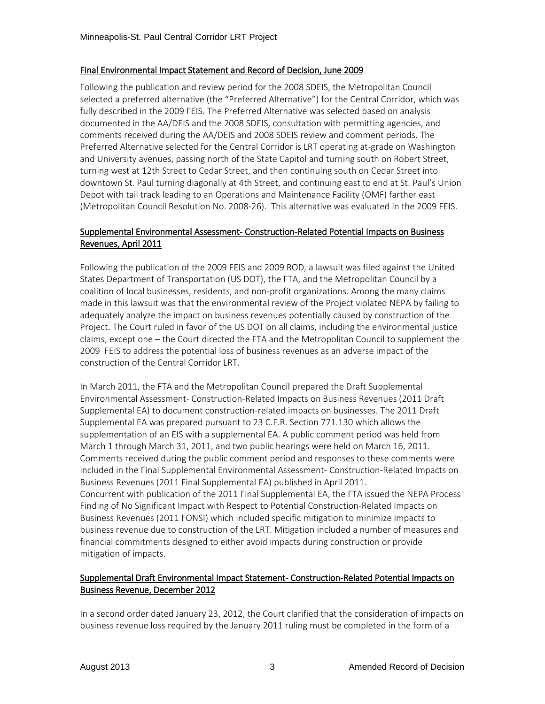#### Final Environmental Impact Statement and Record of Decision, June 2009

Following the publication and review period for the 2008 SDEIS, the Metropolitan Council selected a preferred alternative (the "Preferred Alternative") for the Central Corridor, which was fully described in the 2009 FEIS. The Preferred Alternative was selected based on analysis documented in the AA/DEIS and the 2008 SDEIS, consultation with permitting agencies, and comments received during the AA/DEIS and 2008 SDEIS review and comment periods. The Preferred Alternative selected for the Central Corridor is LRT operating at-grade on Washington and University avenues, passing north of the State Capitol and turning south on Robert Street, turning west at 12th Street to Cedar Street, and then continuing south on Cedar Street into downtown St. Paul turning diagonally at 4th Street, and continuing east to end at St. Paul's Union Depot with tail track leading to an Operations and Maintenance Facility (OMF) farther east (Metropolitan Council Resolution No. 2008-26). This alternative was evaluated in the 2009 FEIS.

### Supplemental Environmental Assessment- Construction-Related Potential Impacts on Business Revenues, April 2011

Following the publication of the 2009 FEIS and 2009 ROD, a lawsuit was filed against the United States Department of Transportation (US DOT), the FTA, and the Metropolitan Council by a coalition of local businesses, residents, and non-profit organizations. Among the many claims made in this lawsuit was that the environmental review of the Project violated NEPA by failing to adequately analyze the impact on business revenues potentially caused by construction of the Project. The Court ruled in favor of the US DOT on all claims, including the environmental justice claims, except one – the Court directed the FTA and the Metropolitan Council to supplement the 2009 FEIS to address the potential loss of business revenues as an adverse impact of the construction of the Central Corridor LRT.

In March 2011, the FTA and the Metropolitan Council prepared the Draft Supplemental Environmental Assessment- Construction-Related Impacts on Business Revenues (2011 Draft Supplemental EA) to document construction-related impacts on businesses. The 2011 Draft Supplemental EA was prepared pursuant to 23 C.F.R. Section 771.130 which allows the supplementation of an EIS with a supplemental EA. A public comment period was held from March 1 through March 31, 2011, and two public hearings were held on March 16, 2011. Comments received during the public comment period and responses to these comments were included in the Final Supplemental Environmental Assessment- Construction-Related Impacts on Business Revenues (2011 Final Supplemental EA) published in April 2011. Concurrent with publication of the 2011 Final Supplemental EA, the FTA issued the NEPA Process Finding of No Significant Impact with Respect to Potential Construction-Related Impacts on Business Revenues (2011 FONSI) which included specific mitigation to minimize impacts to business revenue due to construction of the LRT. Mitigation included a number of measures and financial commitments designed to either avoid impacts during construction or provide mitigation of impacts.

### Supplemental Draft Environmental Impact Statement- Construction-Related Potential Impacts on Business Revenue, December 2012

In a second order dated January 23, 2012, the Court clarified that the consideration of impacts on business revenue loss required by the January 2011 ruling must be completed in the form of a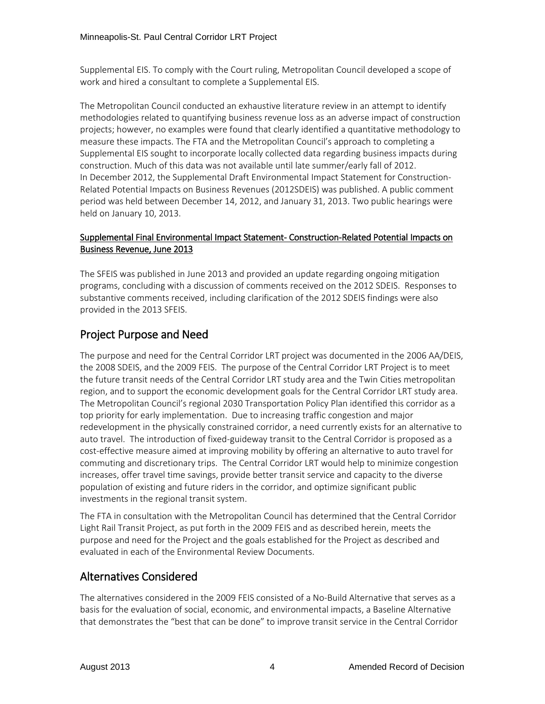Supplemental EIS. To comply with the Court ruling, Metropolitan Council developed a scope of work and hired a consultant to complete a Supplemental EIS.

The Metropolitan Council conducted an exhaustive literature review in an attempt to identify methodologies related to quantifying business revenue loss as an adverse impact of construction projects; however, no examples were found that clearly identified a quantitative methodology to measure these impacts. The FTA and the Metropolitan Council's approach to completing a Supplemental EIS sought to incorporate locally collected data regarding business impacts during construction. Much of this data was not available until late summer/early fall of 2012. In December 2012, the Supplemental Draft Environmental Impact Statement for Construction-Related Potential Impacts on Business Revenues (2012SDEIS) was published. A public comment period was held between December 14, 2012, and January 31, 2013. Two public hearings were held on January 10, 2013.

### Supplemental Final Environmental Impact Statement- Construction-Related Potential Impacts on Business Revenue, June 2013

The SFEIS was published in June 2013 and provided an update regarding ongoing mitigation programs, concluding with a discussion of comments received on the 2012 SDEIS. Responses to substantive comments received, including clarification of the 2012 SDEIS findings were also provided in the 2013 SFEIS.

## Project Purpose and Need

The purpose and need for the Central Corridor LRT project was documented in the 2006 AA/DEIS, the 2008 SDEIS, and the 2009 FEIS. The purpose of the Central Corridor LRT Project is to meet the future transit needs of the Central Corridor LRT study area and the Twin Cities metropolitan region, and to support the economic development goals for the Central Corridor LRT study area. The Metropolitan Council's regional 2030 Transportation Policy Plan identified this corridor as a top priority for early implementation. Due to increasing traffic congestion and major redevelopment in the physically constrained corridor, a need currently exists for an alternative to auto travel. The introduction of fixed-guideway transit to the Central Corridor is proposed as a cost-effective measure aimed at improving mobility by offering an alternative to auto travel for commuting and discretionary trips. The Central Corridor LRT would help to minimize congestion increases, offer travel time savings, provide better transit service and capacity to the diverse population of existing and future riders in the corridor, and optimize significant public investments in the regional transit system.

The FTA in consultation with the Metropolitan Council has determined that the Central Corridor Light Rail Transit Project, as put forth in the 2009 FEIS and as described herein, meets the purpose and need for the Project and the goals established for the Project as described and evaluated in each of the Environmental Review Documents.

### Alternatives Considered

The alternatives considered in the 2009 FEIS consisted of a No-Build Alternative that serves as a basis for the evaluation of social, economic, and environmental impacts, a Baseline Alternative that demonstrates the "best that can be done" to improve transit service in the Central Corridor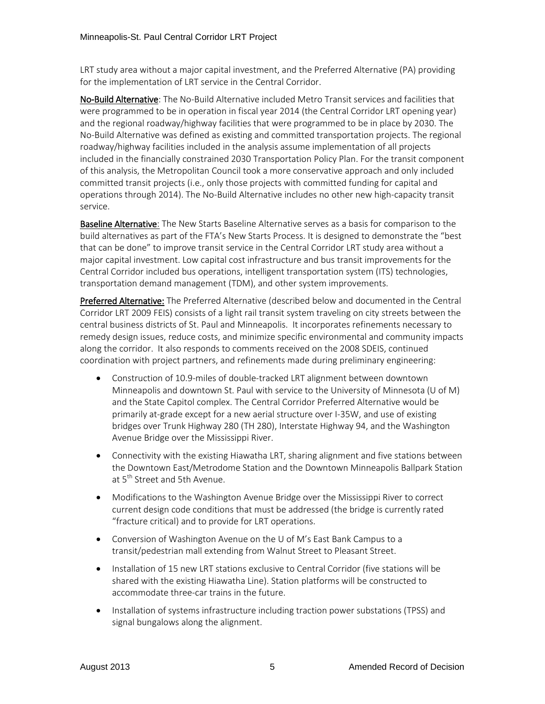LRT study area without a major capital investment, and the Preferred Alternative (PA) providing for the implementation of LRT service in the Central Corridor.

No-Build Alternative: The No-Build Alternative included Metro Transit services and facilities that were programmed to be in operation in fiscal year 2014 (the Central Corridor LRT opening year) and the regional roadway/highway facilities that were programmed to be in place by 2030. The No-Build Alternative was defined as existing and committed transportation projects. The regional roadway/highway facilities included in the analysis assume implementation of all projects included in the financially constrained 2030 Transportation Policy Plan. For the transit component of this analysis, the Metropolitan Council took a more conservative approach and only included committed transit projects (i.e., only those projects with committed funding for capital and operations through 2014). The No-Build Alternative includes no other new high-capacity transit service.

Baseline Alternative: The New Starts Baseline Alternative serves as a basis for comparison to the build alternatives as part of the FTA's New Starts Process. It is designed to demonstrate the "best that can be done" to improve transit service in the Central Corridor LRT study area without a major capital investment. Low capital cost infrastructure and bus transit improvements for the Central Corridor included bus operations, intelligent transportation system (ITS) technologies, transportation demand management (TDM), and other system improvements.

Preferred Alternative: The Preferred Alternative (described below and documented in the Central Corridor LRT 2009 FEIS) consists of a light rail transit system traveling on city streets between the central business districts of St. Paul and Minneapolis. It incorporates refinements necessary to remedy design issues, reduce costs, and minimize specific environmental and community impacts along the corridor. It also responds to comments received on the 2008 SDEIS, continued coordination with project partners, and refinements made during preliminary engineering:

- Construction of 10.9-miles of double-tracked LRT alignment between downtown Minneapolis and downtown St. Paul with service to the University of Minnesota (U of M) and the State Capitol complex. The Central Corridor Preferred Alternative would be primarily at-grade except for a new aerial structure over I-35W, and use of existing bridges over Trunk Highway 280 (TH 280), Interstate Highway 94, and the Washington Avenue Bridge over the Mississippi River.
- Connectivity with the existing Hiawatha LRT, sharing alignment and five stations between the Downtown East/Metrodome Station and the Downtown Minneapolis Ballpark Station at 5<sup>th</sup> Street and 5th Avenue.
- Modifications to the Washington Avenue Bridge over the Mississippi River to correct current design code conditions that must be addressed (the bridge is currently rated "fracture critical) and to provide for LRT operations.
- Conversion of Washington Avenue on the U of M's East Bank Campus to a transit/pedestrian mall extending from Walnut Street to Pleasant Street.
- Installation of 15 new LRT stations exclusive to Central Corridor (five stations will be shared with the existing Hiawatha Line). Station platforms will be constructed to accommodate three-car trains in the future.
- Installation of systems infrastructure including traction power substations (TPSS) and signal bungalows along the alignment.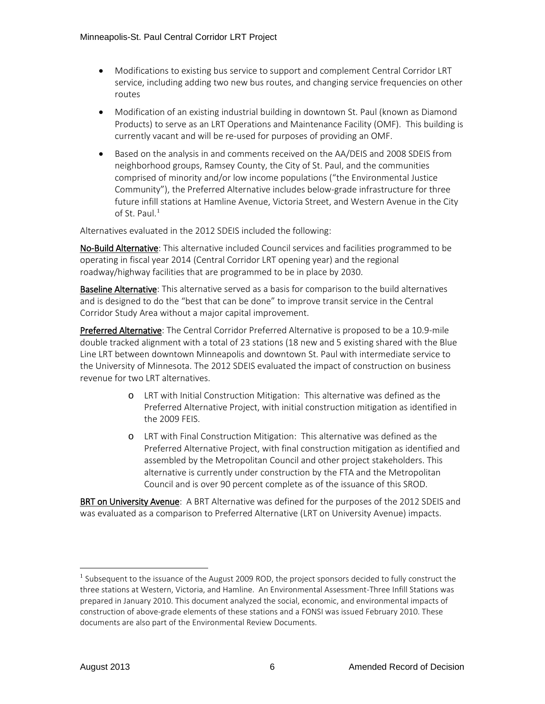- Modifications to existing bus service to support and complement Central Corridor LRT service, including adding two new bus routes, and changing service frequencies on other routes
- Modification of an existing industrial building in downtown St. Paul (known as Diamond Products) to serve as an LRT Operations and Maintenance Facility (OMF). This building is currently vacant and will be re-used for purposes of providing an OMF.
- Based on the analysis in and comments received on the AA/DEIS and 2008 SDEIS from neighborhood groups, Ramsey County, the City of St. Paul, and the communities comprised of minority and/or low income populations ("the Environmental Justice Community"), the Preferred Alternative includes below-grade infrastructure for three future infill stations at Hamline Avenue, Victoria Street, and Western Avenue in the City of St. Paul.<sup>[1](#page-6-0)</sup>

Alternatives evaluated in the 2012 SDEIS included the following:

No-Build Alternative: This alternative included Council services and facilities programmed to be operating in fiscal year 2014 (Central Corridor LRT opening year) and the regional roadway/highway facilities that are programmed to be in place by 2030.

Baseline Alternative: This alternative served as a basis for comparison to the build alternatives and is designed to do the "best that can be done" to improve transit service in the Central Corridor Study Area without a major capital improvement.

Preferred Alternative: The Central Corridor Preferred Alternative is proposed to be a 10.9-mile double tracked alignment with a total of 23 stations (18 new and 5 existing shared with the Blue Line LRT between downtown Minneapolis and downtown St. Paul with intermediate service to the University of Minnesota. The 2012 SDEIS evaluated the impact of construction on business revenue for two LRT alternatives.

- o LRT with Initial Construction Mitigation: This alternative was defined as the Preferred Alternative Project, with initial construction mitigation as identified in the 2009 FEIS.
- o LRT with Final Construction Mitigation: This alternative was defined as the Preferred Alternative Project, with final construction mitigation as identified and assembled by the Metropolitan Council and other project stakeholders. This alternative is currently under construction by the FTA and the Metropolitan Council and is over 90 percent complete as of the issuance of this SROD.

BRT on University Avenue: A BRT Alternative was defined for the purposes of the 2012 SDEIS and was evaluated as a comparison to Preferred Alternative (LRT on University Avenue) impacts.

<span id="page-6-0"></span><sup>&</sup>lt;sup>1</sup> Subsequent to the issuance of the August 2009 ROD, the project sponsors decided to fully construct the three stations at Western, Victoria, and Hamline. An Environmental Assessment-Three Infill Stations was prepared in January 2010. This document analyzed the social, economic, and environmental impacts of construction of above-grade elements of these stations and a FONSI was issued February 2010. These documents are also part of the Environmental Review Documents.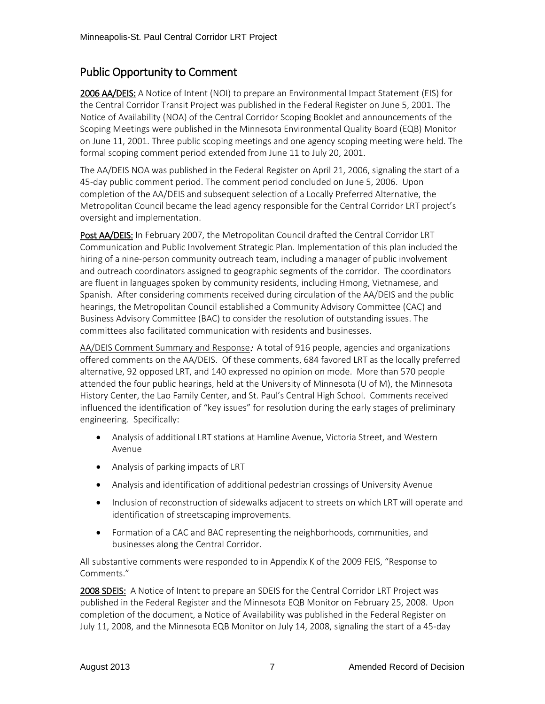## Public Opportunity to Comment

2006 AA/DEIS: A Notice of Intent (NOI) to prepare an Environmental Impact Statement (EIS) for the Central Corridor Transit Project was published in the Federal Register on June 5, 2001. The Notice of Availability (NOA) of the Central Corridor Scoping Booklet and announcements of the Scoping Meetings were published in the Minnesota Environmental Quality Board (EQB) Monitor on June 11, 2001. Three public scoping meetings and one agency scoping meeting were held. The formal scoping comment period extended from June 11 to July 20, 2001.

The AA/DEIS NOA was published in the Federal Register on April 21, 2006, signaling the start of a 45-day public comment period. The comment period concluded on June 5, 2006. Upon completion of the AA/DEIS and subsequent selection of a Locally Preferred Alternative, the Metropolitan Council became the lead agency responsible for the Central Corridor LRT project's oversight and implementation.

Post AA/DEIS: In February 2007, the Metropolitan Council drafted the Central Corridor LRT Communication and Public Involvement Strategic Plan. Implementation of this plan included the hiring of a nine-person community outreach team, including a manager of public involvement and outreach coordinators assigned to geographic segments of the corridor. The coordinators are fluent in languages spoken by community residents, including Hmong, Vietnamese, and Spanish. After considering comments received during circulation of the AA/DEIS and the public hearings, the Metropolitan Council established a Community Advisory Committee (CAC) and Business Advisory Committee (BAC) to consider the resolution of outstanding issues. The committees also facilitated communication with residents and businesses.

AA/DEIS Comment Summary and Response: A total of 916 people, agencies and organizations offered comments on the AA/DEIS. Of these comments, 684 favored LRT as the locally preferred alternative, 92 opposed LRT, and 140 expressed no opinion on mode. More than 570 people attended the four public hearings, held at the University of Minnesota (U of M), the Minnesota History Center, the Lao Family Center, and St. Paul's Central High School. Comments received influenced the identification of "key issues" for resolution during the early stages of preliminary engineering. Specifically:

- Analysis of additional LRT stations at Hamline Avenue, Victoria Street, and Western Avenue
- Analysis of parking impacts of LRT
- Analysis and identification of additional pedestrian crossings of University Avenue
- Inclusion of reconstruction of sidewalks adjacent to streets on which LRT will operate and identification of streetscaping improvements.
- Formation of a CAC and BAC representing the neighborhoods, communities, and businesses along the Central Corridor.

All substantive comments were responded to in Appendix K of the 2009 FEIS, "Response to Comments."

2008 SDEIS: A Notice of Intent to prepare an SDEIS for the Central Corridor LRT Project was published in the Federal Register and the Minnesota EQB Monitor on February 25, 2008. Upon completion of the document, a Notice of Availability was published in the Federal Register on July 11, 2008, and the Minnesota EQB Monitor on July 14, 2008, signaling the start of a 45-day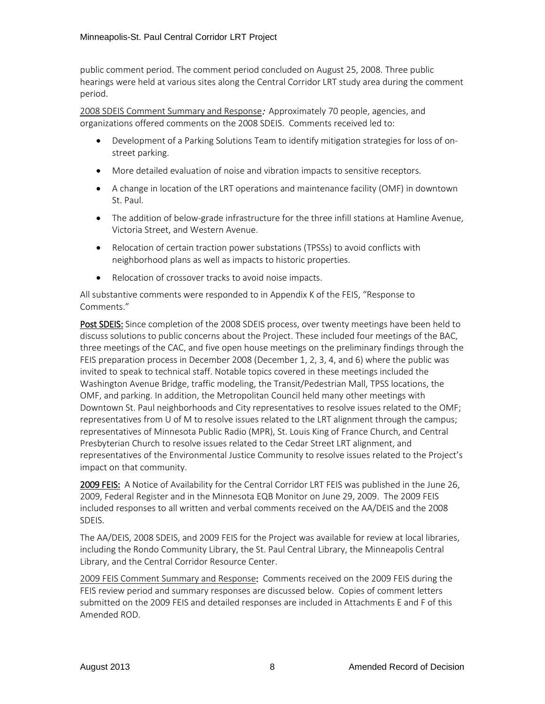public comment period. The comment period concluded on August 25, 2008. Three public hearings were held at various sites along the Central Corridor LRT study area during the comment period.

2008 SDEIS Comment Summary and Response: Approximately 70 people, agencies, and organizations offered comments on the 2008 SDEIS. Comments received led to:

- Development of a Parking Solutions Team to identify mitigation strategies for loss of onstreet parking.
- More detailed evaluation of noise and vibration impacts to sensitive receptors.
- A change in location of the LRT operations and maintenance facility (OMF) in downtown St. Paul.
- The addition of below-grade infrastructure for the three infill stations at Hamline Avenue, Victoria Street, and Western Avenue.
- Relocation of certain traction power substations (TPSSs) to avoid conflicts with neighborhood plans as well as impacts to historic properties.
- Relocation of crossover tracks to avoid noise impacts.

All substantive comments were responded to in Appendix K of the FEIS, "Response to Comments."

Post SDEIS: Since completion of the 2008 SDEIS process, over twenty meetings have been held to discuss solutions to public concerns about the Project. These included four meetings of the BAC, three meetings of the CAC, and five open house meetings on the preliminary findings through the FEIS preparation process in December 2008 (December 1, 2, 3, 4, and 6) where the public was invited to speak to technical staff. Notable topics covered in these meetings included the Washington Avenue Bridge, traffic modeling, the Transit/Pedestrian Mall, TPSS locations, the OMF, and parking. In addition, the Metropolitan Council held many other meetings with Downtown St. Paul neighborhoods and City representatives to resolve issues related to the OMF; representatives from U of M to resolve issues related to the LRT alignment through the campus; representatives of Minnesota Public Radio (MPR), St. Louis King of France Church, and Central Presbyterian Church to resolve issues related to the Cedar Street LRT alignment, and representatives of the Environmental Justice Community to resolve issues related to the Project's impact on that community.

2009 FEIS: A Notice of Availability for the Central Corridor LRT FEIS was published in the June 26, 2009, Federal Register and in the Minnesota EQB Monitor on June 29, 2009. The 2009 FEIS included responses to all written and verbal comments received on the AA/DEIS and the 2008 SDEIS.

The AA/DEIS, 2008 SDEIS, and 2009 FEIS for the Project was available for review at local libraries, including the Rondo Community Library, the St. Paul Central Library, the Minneapolis Central Library, and the Central Corridor Resource Center.

2009 FEIS Comment Summary and Response: Comments received on the 2009 FEIS during the FEIS review period and summary responses are discussed below. Copies of comment letters submitted on the 2009 FEIS and detailed responses are included in Attachments E and F of this Amended ROD.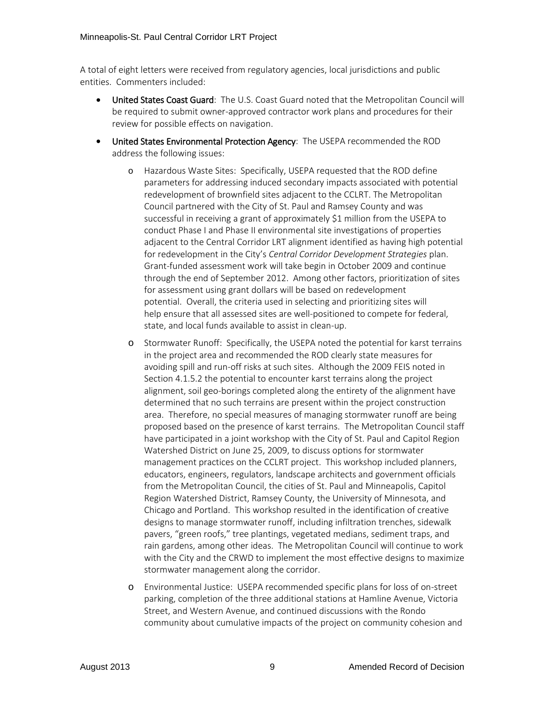A total of eight letters were received from regulatory agencies, local jurisdictions and public entities. Commenters included:

- United States Coast Guard: The U.S. Coast Guard noted that the Metropolitan Council will be required to submit owner-approved contractor work plans and procedures for their review for possible effects on navigation.
- United States Environmental Protection Agency: The USEPA recommended the ROD address the following issues:
	- o Hazardous Waste Sites: Specifically, USEPA requested that the ROD define parameters for addressing induced secondary impacts associated with potential redevelopment of brownfield sites adjacent to the CCLRT. The Metropolitan Council partnered with the City of St. Paul and Ramsey County and was successful in receiving a grant of approximately \$1 million from the USEPA to conduct Phase I and Phase II environmental site investigations of properties adjacent to the Central Corridor LRT alignment identified as having high potential for redevelopment in the City's *Central Corridor Development Strategies* plan. Grant-funded assessment work will take begin in October 2009 and continue through the end of September 2012. Among other factors, prioritization of sites for assessment using grant dollars will be based on redevelopment potential. Overall, the criteria used in selecting and prioritizing sites will help ensure that all assessed sites are well-positioned to compete for federal, state, and local funds available to assist in clean-up.
	- o Stormwater Runoff: Specifically, the USEPA noted the potential for karst terrains in the project area and recommended the ROD clearly state measures for avoiding spill and run-off risks at such sites. Although the 2009 FEIS noted in Section 4.1.5.2 the potential to encounter karst terrains along the project alignment, soil geo-borings completed along the entirety of the alignment have determined that no such terrains are present within the project construction area. Therefore, no special measures of managing stormwater runoff are being proposed based on the presence of karst terrains. The Metropolitan Council staff have participated in a joint workshop with the City of St. Paul and Capitol Region Watershed District on June 25, 2009, to discuss options for stormwater management practices on the CCLRT project. This workshop included planners, educators, engineers, regulators, landscape architects and government officials from the Metropolitan Council, the cities of St. Paul and Minneapolis, Capitol Region Watershed District, Ramsey County, the University of Minnesota, and Chicago and Portland. This workshop resulted in the identification of creative designs to manage stormwater runoff, including infiltration trenches, sidewalk pavers, "green roofs," tree plantings, vegetated medians, sediment traps, and rain gardens, among other ideas. The Metropolitan Council will continue to work with the City and the CRWD to implement the most effective designs to maximize stormwater management along the corridor.
	- o Environmental Justice: USEPA recommended specific plans for loss of on-street parking, completion of the three additional stations at Hamline Avenue, Victoria Street, and Western Avenue, and continued discussions with the Rondo community about cumulative impacts of the project on community cohesion and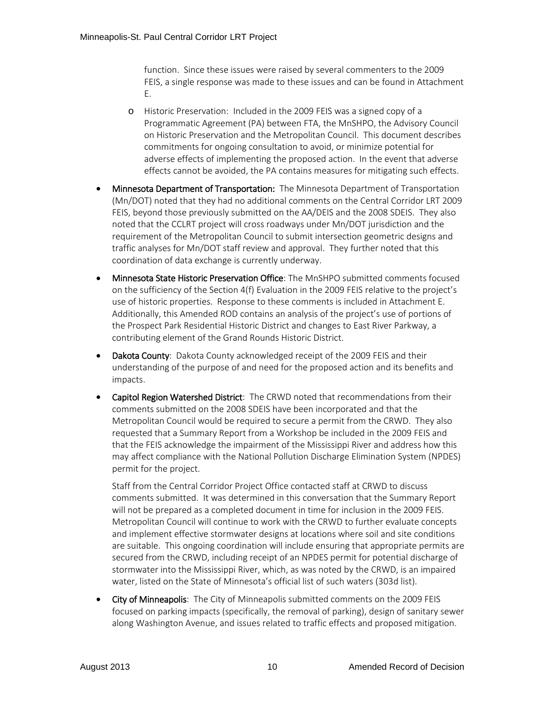function. Since these issues were raised by several commenters to the 2009 FEIS, a single response was made to these issues and can be found in Attachment E.

- o Historic Preservation: Included in the 2009 FEIS was a signed copy of a Programmatic Agreement (PA) between FTA, the MnSHPO, the Advisory Council on Historic Preservation and the Metropolitan Council. This document describes commitments for ongoing consultation to avoid, or minimize potential for adverse effects of implementing the proposed action. In the event that adverse effects cannot be avoided, the PA contains measures for mitigating such effects.
- Minnesota Department of Transportation: The Minnesota Department of Transportation (Mn/DOT) noted that they had no additional comments on the Central Corridor LRT 2009 FEIS, beyond those previously submitted on the AA/DEIS and the 2008 SDEIS. They also noted that the CCLRT project will cross roadways under Mn/DOT jurisdiction and the requirement of the Metropolitan Council to submit intersection geometric designs and traffic analyses for Mn/DOT staff review and approval. They further noted that this coordination of data exchange is currently underway.
- Minnesota State Historic Preservation Office: The MnSHPO submitted comments focused on the sufficiency of the Section 4(f) Evaluation in the 2009 FEIS relative to the project's use of historic properties. Response to these comments is included in Attachment E. Additionally, this Amended ROD contains an analysis of the project's use of portions of the Prospect Park Residential Historic District and changes to East River Parkway, a contributing element of the Grand Rounds Historic District.
- Dakota County: Dakota County acknowledged receipt of the 2009 FEIS and their understanding of the purpose of and need for the proposed action and its benefits and impacts.
- Capitol Region Watershed District: The CRWD noted that recommendations from their comments submitted on the 2008 SDEIS have been incorporated and that the Metropolitan Council would be required to secure a permit from the CRWD. They also requested that a Summary Report from a Workshop be included in the 2009 FEIS and that the FEIS acknowledge the impairment of the Mississippi River and address how this may affect compliance with the National Pollution Discharge Elimination System (NPDES) permit for the project.

Staff from the Central Corridor Project Office contacted staff at CRWD to discuss comments submitted. It was determined in this conversation that the Summary Report will not be prepared as a completed document in time for inclusion in the 2009 FEIS. Metropolitan Council will continue to work with the CRWD to further evaluate concepts and implement effective stormwater designs at locations where soil and site conditions are suitable. This ongoing coordination will include ensuring that appropriate permits are secured from the CRWD, including receipt of an NPDES permit for potential discharge of stormwater into the Mississippi River, which, as was noted by the CRWD, is an impaired water, listed on the State of Minnesota's official list of such waters (303d list).

• City of Minneapolis: The City of Minneapolis submitted comments on the 2009 FEIS focused on parking impacts (specifically, the removal of parking), design of sanitary sewer along Washington Avenue, and issues related to traffic effects and proposed mitigation.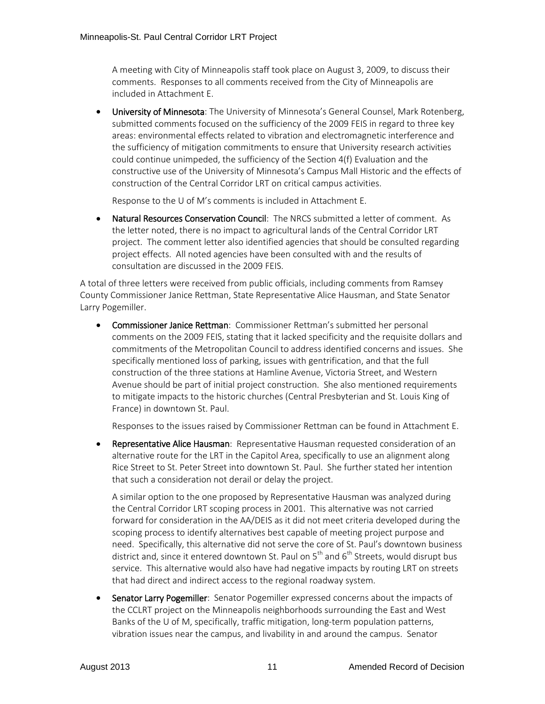A meeting with City of Minneapolis staff took place on August 3, 2009, to discuss their comments. Responses to all comments received from the City of Minneapolis are included in Attachment E.

• University of Minnesota: The University of Minnesota's General Counsel, Mark Rotenberg, submitted comments focused on the sufficiency of the 2009 FEIS in regard to three key areas: environmental effects related to vibration and electromagnetic interference and the sufficiency of mitigation commitments to ensure that University research activities could continue unimpeded, the sufficiency of the Section 4(f) Evaluation and the constructive use of the University of Minnesota's Campus Mall Historic and the effects of construction of the Central Corridor LRT on critical campus activities.

Response to the U of M's comments is included in Attachment E.

• Natural Resources Conservation Council: The NRCS submitted a letter of comment. As the letter noted, there is no impact to agricultural lands of the Central Corridor LRT project. The comment letter also identified agencies that should be consulted regarding project effects. All noted agencies have been consulted with and the results of consultation are discussed in the 2009 FEIS.

A total of three letters were received from public officials, including comments from Ramsey County Commissioner Janice Rettman, State Representative Alice Hausman, and State Senator Larry Pogemiller.

• Commissioner Janice Rettman: Commissioner Rettman's submitted her personal comments on the 2009 FEIS, stating that it lacked specificity and the requisite dollars and commitments of the Metropolitan Council to address identified concerns and issues. She specifically mentioned loss of parking, issues with gentrification, and that the full construction of the three stations at Hamline Avenue, Victoria Street, and Western Avenue should be part of initial project construction. She also mentioned requirements to mitigate impacts to the historic churches (Central Presbyterian and St. Louis King of France) in downtown St. Paul.

Responses to the issues raised by Commissioner Rettman can be found in Attachment E.

• Representative Alice Hausman: Representative Hausman requested consideration of an alternative route for the LRT in the Capitol Area, specifically to use an alignment along Rice Street to St. Peter Street into downtown St. Paul. She further stated her intention that such a consideration not derail or delay the project.

A similar option to the one proposed by Representative Hausman was analyzed during the Central Corridor LRT scoping process in 2001. This alternative was not carried forward for consideration in the AA/DEIS as it did not meet criteria developed during the scoping process to identify alternatives best capable of meeting project purpose and need. Specifically, this alternative did not serve the core of St. Paul's downtown business district and, since it entered downtown St. Paul on  $5<sup>th</sup>$  and  $6<sup>th</sup>$  Streets, would disrupt bus service. This alternative would also have had negative impacts by routing LRT on streets that had direct and indirect access to the regional roadway system.

• Senator Larry Pogemiller: Senator Pogemiller expressed concerns about the impacts of the CCLRT project on the Minneapolis neighborhoods surrounding the East and West Banks of the U of M, specifically, traffic mitigation, long-term population patterns, vibration issues near the campus, and livability in and around the campus. Senator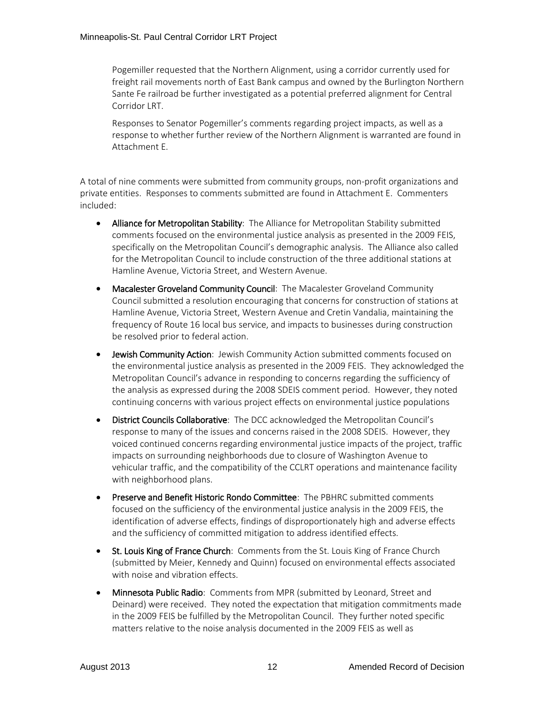Pogemiller requested that the Northern Alignment, using a corridor currently used for freight rail movements north of East Bank campus and owned by the Burlington Northern Sante Fe railroad be further investigated as a potential preferred alignment for Central Corridor LRT.

Responses to Senator Pogemiller's comments regarding project impacts, as well as a response to whether further review of the Northern Alignment is warranted are found in Attachment E.

A total of nine comments were submitted from community groups, non-profit organizations and private entities. Responses to comments submitted are found in Attachment E. Commenters included:

- Alliance for Metropolitan Stability: The Alliance for Metropolitan Stability submitted comments focused on the environmental justice analysis as presented in the 2009 FEIS, specifically on the Metropolitan Council's demographic analysis. The Alliance also called for the Metropolitan Council to include construction of the three additional stations at Hamline Avenue, Victoria Street, and Western Avenue.
- Macalester Groveland Community Council: The Macalester Groveland Community Council submitted a resolution encouraging that concerns for construction of stations at Hamline Avenue, Victoria Street, Western Avenue and Cretin Vandalia, maintaining the frequency of Route 16 local bus service, and impacts to businesses during construction be resolved prior to federal action.
- Jewish Community Action: Jewish Community Action submitted comments focused on the environmental justice analysis as presented in the 2009 FEIS. They acknowledged the Metropolitan Council's advance in responding to concerns regarding the sufficiency of the analysis as expressed during the 2008 SDEIS comment period. However, they noted continuing concerns with various project effects on environmental justice populations
- District Councils Collaborative: The DCC acknowledged the Metropolitan Council's response to many of the issues and concerns raised in the 2008 SDEIS. However, they voiced continued concerns regarding environmental justice impacts of the project, traffic impacts on surrounding neighborhoods due to closure of Washington Avenue to vehicular traffic, and the compatibility of the CCLRT operations and maintenance facility with neighborhood plans.
- Preserve and Benefit Historic Rondo Committee: The PBHRC submitted comments focused on the sufficiency of the environmental justice analysis in the 2009 FEIS, the identification of adverse effects, findings of disproportionately high and adverse effects and the sufficiency of committed mitigation to address identified effects.
- St. Louis King of France Church: Comments from the St. Louis King of France Church (submitted by Meier, Kennedy and Quinn) focused on environmental effects associated with noise and vibration effects.
- Minnesota Public Radio: Comments from MPR (submitted by Leonard, Street and Deinard) were received. They noted the expectation that mitigation commitments made in the 2009 FEIS be fulfilled by the Metropolitan Council. They further noted specific matters relative to the noise analysis documented in the 2009 FEIS as well as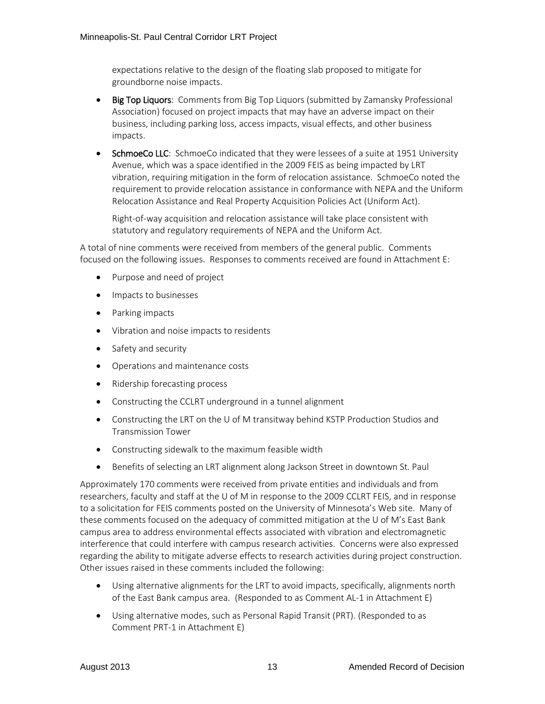expectations relative to the design of the floating slab proposed to mitigate for groundborne noise impacts.

- Big Top Liquors: Comments from Big Top Liquors (submitted by Zamansky Professional Association) focused on project impacts that may have an adverse impact on their business, including parking loss, access impacts, visual effects, and other business impacts.
- SchmoeCo LLC: SchmoeCo indicated that they were lessees of a suite at 1951 University Avenue, which was a space identified in the 2009 FEIS as being impacted by LRT vibration, requiring mitigation in the form of relocation assistance. SchmoeCo noted the requirement to provide relocation assistance in conformance with NEPA and the Uniform Relocation Assistance and Real Property Acquisition Policies Act (Uniform Act).

Right-of-way acquisition and relocation assistance will take place consistent with statutory and regulatory requirements of NEPA and the Uniform Act.

A total of nine comments were received from members of the general public. Comments focused on the following issues. Responses to comments received are found in Attachment E:

- Purpose and need of project
- Impacts to businesses
- Parking impacts
- Vibration and noise impacts to residents
- Safety and security
- Operations and maintenance costs
- Ridership forecasting process
- Constructing the CCLRT underground in a tunnel alignment
- Constructing the LRT on the U of M transitway behind KSTP Production Studios and Transmission Tower
- Constructing sidewalk to the maximum feasible width
- Benefits of selecting an LRT alignment along Jackson Street in downtown St. Paul

Approximately 170 comments were received from private entities and individuals and from researchers, faculty and staff at the U of M in response to the 2009 CCLRT FEIS, and in response to a solicitation for FEIS comments posted on the University of Minnesota's Web site. Many of these comments focused on the adequacy of committed mitigation at the U of M's East Bank campus area to address environmental effects associated with vibration and electromagnetic interference that could interfere with campus research activities. Concerns were also expressed regarding the ability to mitigate adverse effects to research activities during project construction. Other issues raised in these comments included the following:

- Using alternative alignments for the LRT to avoid impacts, specifically, alignments north of the East Bank campus area. (Responded to as Comment AL-1 in Attachment E)
- Using alternative modes, such as Personal Rapid Transit (PRT). (Responded to as Comment PRT-1 in Attachment E)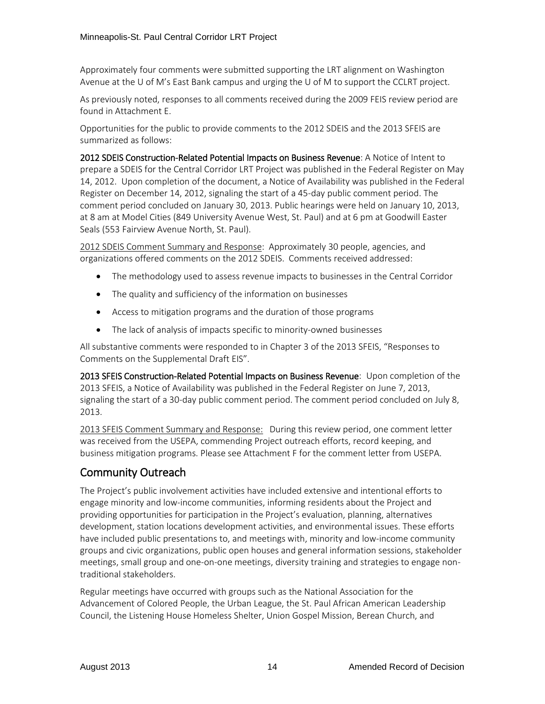Approximately four comments were submitted supporting the LRT alignment on Washington Avenue at the U of M's East Bank campus and urging the U of M to support the CCLRT project.

As previously noted, responses to all comments received during the 2009 FEIS review period are found in Attachment E.

Opportunities for the public to provide comments to the 2012 SDEIS and the 2013 SFEIS are summarized as follows:

2012 SDEIS Construction-Related Potential Impacts on Business Revenue: A Notice of Intent to prepare a SDEIS for the Central Corridor LRT Project was published in the Federal Register on May 14, 2012. Upon completion of the document, a Notice of Availability was published in the Federal Register on December 14, 2012, signaling the start of a 45-day public comment period. The comment period concluded on January 30, 2013. Public hearings were held on January 10, 2013, at 8 am at Model Cities (849 University Avenue West, St. Paul) and at 6 pm at Goodwill Easter Seals (553 Fairview Avenue North, St. Paul).

2012 SDEIS Comment Summary and Response: Approximately 30 people, agencies, and organizations offered comments on the 2012 SDEIS. Comments received addressed:

- The methodology used to assess revenue impacts to businesses in the Central Corridor
- The quality and sufficiency of the information on businesses
- Access to mitigation programs and the duration of those programs
- The lack of analysis of impacts specific to minority-owned businesses

All substantive comments were responded to in Chapter 3 of the 2013 SFEIS, "Responses to Comments on the Supplemental Draft EIS".

2013 SFEIS Construction-Related Potential Impacts on Business Revenue: Upon completion of the 2013 SFEIS, a Notice of Availability was published in the Federal Register on June 7, 2013, signaling the start of a 30-day public comment period. The comment period concluded on July 8, 2013.

2013 SFEIS Comment Summary and Response: During this review period, one comment letter was received from the USEPA, commending Project outreach efforts, record keeping, and business mitigation programs. Please see Attachment F for the comment letter from USEPA.

### Community Outreach

The Project's public involvement activities have included extensive and intentional efforts to engage minority and low-income communities, informing residents about the Project and providing opportunities for participation in the Project's evaluation, planning, alternatives development, station locations development activities, and environmental issues. These efforts have included public presentations to, and meetings with, minority and low-income community groups and civic organizations, public open houses and general information sessions, stakeholder meetings, small group and one-on-one meetings, diversity training and strategies to engage nontraditional stakeholders.

Regular meetings have occurred with groups such as the National Association for the Advancement of Colored People, the Urban League, the St. Paul African American Leadership Council, the Listening House Homeless Shelter, Union Gospel Mission, Berean Church, and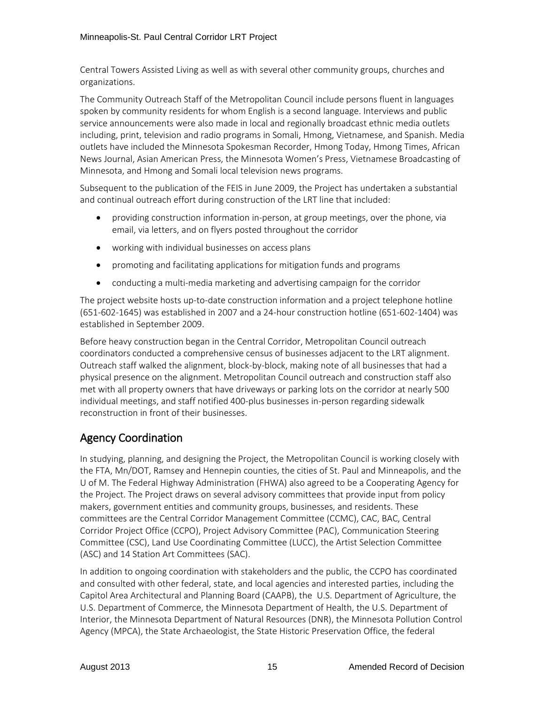Central Towers Assisted Living as well as with several other community groups, churches and organizations.

The Community Outreach Staff of the Metropolitan Council include persons fluent in languages spoken by community residents for whom English is a second language. Interviews and public service announcements were also made in local and regionally broadcast ethnic media outlets including, print, television and radio programs in Somali, Hmong, Vietnamese, and Spanish. Media outlets have included the Minnesota Spokesman Recorder, Hmong Today, Hmong Times, African News Journal, Asian American Press, the Minnesota Women's Press, Vietnamese Broadcasting of Minnesota, and Hmong and Somali local television news programs.

Subsequent to the publication of the FEIS in June 2009, the Project has undertaken a substantial and continual outreach effort during construction of the LRT line that included:

- providing construction information in-person, at group meetings, over the phone, via email, via letters, and on flyers posted throughout the corridor
- working with individual businesses on access plans
- promoting and facilitating applications for mitigation funds and programs
- conducting a multi-media marketing and advertising campaign for the corridor

The project website hosts up-to-date construction information and a project telephone hotline (651-602-1645) was established in 2007 and a 24-hour construction hotline (651-602-1404) was established in September 2009.

Before heavy construction began in the Central Corridor, Metropolitan Council outreach coordinators conducted a comprehensive census of businesses adjacent to the LRT alignment. Outreach staff walked the alignment, block-by-block, making note of all businesses that had a physical presence on the alignment. Metropolitan Council outreach and construction staff also met with all property owners that have driveways or parking lots on the corridor at nearly 500 individual meetings, and staff notified 400-plus businesses in-person regarding sidewalk reconstruction in front of their businesses.

## Agency Coordination

In studying, planning, and designing the Project, the Metropolitan Council is working closely with the FTA, Mn/DOT, Ramsey and Hennepin counties, the cities of St. Paul and Minneapolis, and the U of M. The Federal Highway Administration (FHWA) also agreed to be a Cooperating Agency for the Project. The Project draws on several advisory committees that provide input from policy makers, government entities and community groups, businesses, and residents. These committees are the Central Corridor Management Committee (CCMC), CAC, BAC, Central Corridor Project Office (CCPO), Project Advisory Committee (PAC), Communication Steering Committee (CSC), Land Use Coordinating Committee (LUCC), the Artist Selection Committee (ASC) and 14 Station Art Committees (SAC).

In addition to ongoing coordination with stakeholders and the public, the CCPO has coordinated and consulted with other federal, state, and local agencies and interested parties, including the Capitol Area Architectural and Planning Board (CAAPB), the U.S. Department of Agriculture, the U.S. Department of Commerce, the Minnesota Department of Health, the U.S. Department of Interior, the Minnesota Department of Natural Resources (DNR), the Minnesota Pollution Control Agency (MPCA), the State Archaeologist, the State Historic Preservation Office, the federal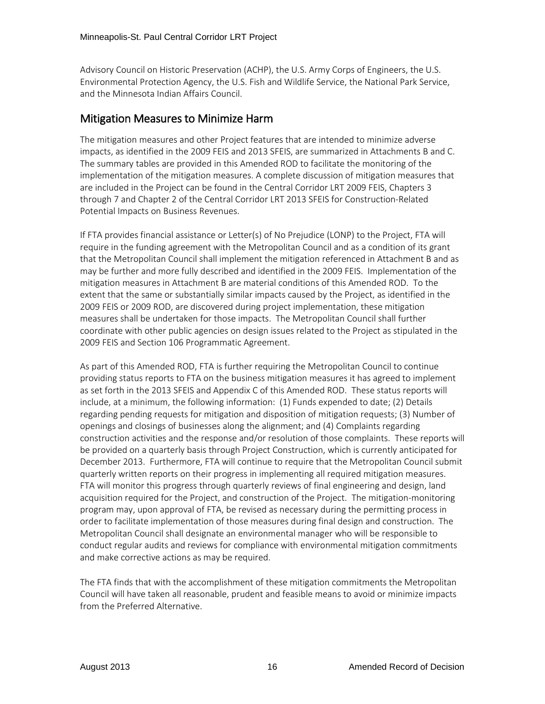Advisory Council on Historic Preservation (ACHP), the U.S. Army Corps of Engineers, the U.S. Environmental Protection Agency, the U.S. Fish and Wildlife Service, the National Park Service, and the Minnesota Indian Affairs Council.

### Mitigation Measures to Minimize Harm

The mitigation measures and other Project features that are intended to minimize adverse impacts, as identified in the 2009 FEIS and 2013 SFEIS, are summarized in Attachments B and C. The summary tables are provided in this Amended ROD to facilitate the monitoring of the implementation of the mitigation measures. A complete discussion of mitigation measures that are included in the Project can be found in the Central Corridor LRT 2009 FEIS, Chapters 3 through 7 and Chapter 2 of the Central Corridor LRT 2013 SFEIS for Construction-Related Potential Impacts on Business Revenues.

If FTA provides financial assistance or Letter(s) of No Prejudice (LONP) to the Project, FTA will require in the funding agreement with the Metropolitan Council and as a condition of its grant that the Metropolitan Council shall implement the mitigation referenced in Attachment B and as may be further and more fully described and identified in the 2009 FEIS. Implementation of the mitigation measures in Attachment B are material conditions of this Amended ROD. To the extent that the same or substantially similar impacts caused by the Project, as identified in the 2009 FEIS or 2009 ROD, are discovered during project implementation, these mitigation measures shall be undertaken for those impacts. The Metropolitan Council shall further coordinate with other public agencies on design issues related to the Project as stipulated in the 2009 FEIS and Section 106 Programmatic Agreement.

As part of this Amended ROD, FTA is further requiring the Metropolitan Council to continue providing status reports to FTA on the business mitigation measures it has agreed to implement as set forth in the 2013 SFEIS and Appendix C of this Amended ROD. These status reports will include, at a minimum, the following information: (1) Funds expended to date; (2) Details regarding pending requests for mitigation and disposition of mitigation requests; (3) Number of openings and closings of businesses along the alignment; and (4) Complaints regarding construction activities and the response and/or resolution of those complaints. These reports will be provided on a quarterly basis through Project Construction, which is currently anticipated for December 2013. Furthermore, FTA will continue to require that the Metropolitan Council submit quarterly written reports on their progress in implementing all required mitigation measures. FTA will monitor this progress through quarterly reviews of final engineering and design, land acquisition required for the Project, and construction of the Project. The mitigation-monitoring program may, upon approval of FTA, be revised as necessary during the permitting process in order to facilitate implementation of those measures during final design and construction. The Metropolitan Council shall designate an environmental manager who will be responsible to conduct regular audits and reviews for compliance with environmental mitigation commitments and make corrective actions as may be required.

The FTA finds that with the accomplishment of these mitigation commitments the Metropolitan Council will have taken all reasonable, prudent and feasible means to avoid or minimize impacts from the Preferred Alternative.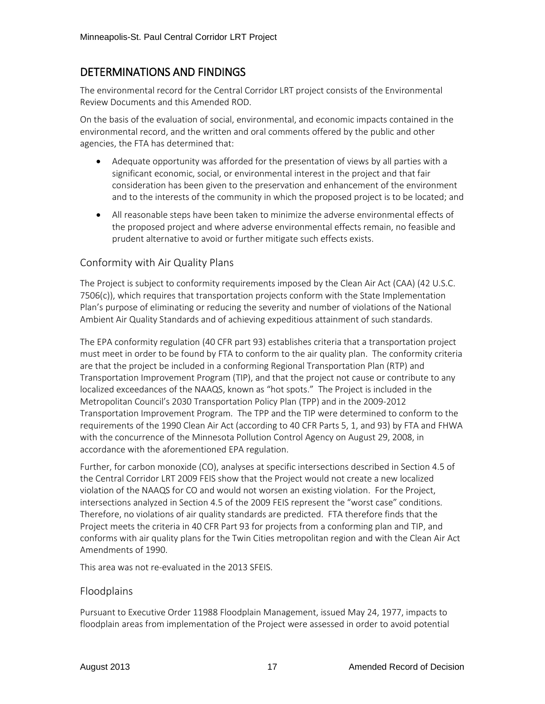## DETERMINATIONS AND FINDINGS

The environmental record for the Central Corridor LRT project consists of the Environmental Review Documents and this Amended ROD.

On the basis of the evaluation of social, environmental, and economic impacts contained in the environmental record, and the written and oral comments offered by the public and other agencies, the FTA has determined that:

- Adequate opportunity was afforded for the presentation of views by all parties with a significant economic, social, or environmental interest in the project and that fair consideration has been given to the preservation and enhancement of the environment and to the interests of the community in which the proposed project is to be located; and
- All reasonable steps have been taken to minimize the adverse environmental effects of the proposed project and where adverse environmental effects remain, no feasible and prudent alternative to avoid or further mitigate such effects exists.

### Conformity with Air Quality Plans

The Project is subject to conformity requirements imposed by the Clean Air Act (CAA) (42 U.S.C. 7506(c)), which requires that transportation projects conform with the State Implementation Plan's purpose of eliminating or reducing the severity and number of violations of the National Ambient Air Quality Standards and of achieving expeditious attainment of such standards.

The EPA conformity regulation (40 CFR part 93) establishes criteria that a transportation project must meet in order to be found by FTA to conform to the air quality plan. The conformity criteria are that the project be included in a conforming Regional Transportation Plan (RTP) and Transportation Improvement Program (TIP), and that the project not cause or contribute to any localized exceedances of the NAAQS, known as "hot spots." The Project is included in the Metropolitan Council's 2030 Transportation Policy Plan (TPP) and in the 2009-2012 Transportation Improvement Program. The TPP and the TIP were determined to conform to the requirements of the 1990 Clean Air Act (according to 40 CFR Parts 5, 1, and 93) by FTA and FHWA with the concurrence of the Minnesota Pollution Control Agency on August 29, 2008, in accordance with the aforementioned EPA regulation.

Further, for carbon monoxide (CO), analyses at specific intersections described in Section 4.5 of the Central Corridor LRT 2009 FEIS show that the Project would not create a new localized violation of the NAAQS for CO and would not worsen an existing violation. For the Project, intersections analyzed in Section 4.5 of the 2009 FEIS represent the "worst case" conditions. Therefore, no violations of air quality standards are predicted. FTA therefore finds that the Project meets the criteria in 40 CFR Part 93 for projects from a conforming plan and TIP, and conforms with air quality plans for the Twin Cities metropolitan region and with the Clean Air Act Amendments of 1990.

This area was not re-evaluated in the 2013 SFEIS.

### Floodplains

Pursuant to Executive Order 11988 Floodplain Management, issued May 24, 1977, impacts to floodplain areas from implementation of the Project were assessed in order to avoid potential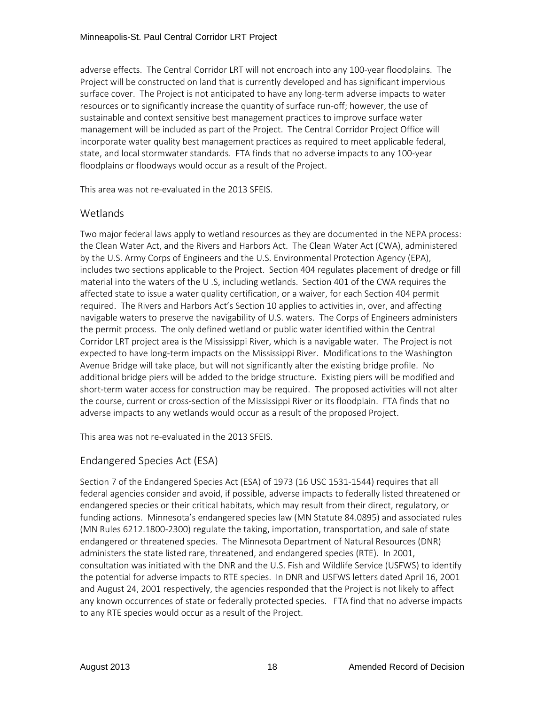adverse effects. The Central Corridor LRT will not encroach into any 100-year floodplains. The Project will be constructed on land that is currently developed and has significant impervious surface cover. The Project is not anticipated to have any long-term adverse impacts to water resources or to significantly increase the quantity of surface run-off; however, the use of sustainable and context sensitive best management practices to improve surface water management will be included as part of the Project. The Central Corridor Project Office will incorporate water quality best management practices as required to meet applicable federal, state, and local stormwater standards. FTA finds that no adverse impacts to any 100-year floodplains or floodways would occur as a result of the Project.

This area was not re-evaluated in the 2013 SFEIS.

### **Wetlands**

Two major federal laws apply to wetland resources as they are documented in the NEPA process: the Clean Water Act, and the Rivers and Harbors Act. The Clean Water Act (CWA), administered by the U.S. Army Corps of Engineers and the U.S. Environmental Protection Agency (EPA), includes two sections applicable to the Project. Section 404 regulates placement of dredge or fill material into the waters of the U .S, including wetlands. Section 401 of the CWA requires the affected state to issue a water quality certification, or a waiver, for each Section 404 permit required. The Rivers and Harbors Act's Section 10 applies to activities in, over, and affecting navigable waters to preserve the navigability of U.S. waters. The Corps of Engineers administers the permit process. The only defined wetland or public water identified within the Central Corridor LRT project area is the Mississippi River, which is a navigable water. The Project is not expected to have long-term impacts on the Mississippi River. Modifications to the Washington Avenue Bridge will take place, but will not significantly alter the existing bridge profile. No additional bridge piers will be added to the bridge structure. Existing piers will be modified and short-term water access for construction may be required. The proposed activities will not alter the course, current or cross-section of the Mississippi River or its floodplain. FTA finds that no adverse impacts to any wetlands would occur as a result of the proposed Project.

This area was not re-evaluated in the 2013 SFEIS.

### Endangered Species Act (ESA)

Section 7 of the Endangered Species Act (ESA) of 1973 (16 USC 1531-1544) requires that all federal agencies consider and avoid, if possible, adverse impacts to federally listed threatened or endangered species or their critical habitats, which may result from their direct, regulatory, or funding actions. Minnesota's endangered species law (MN Statute 84.0895) and associated rules (MN Rules 6212.1800-2300) regulate the taking, importation, transportation, and sale of state endangered or threatened species. The Minnesota Department of Natural Resources (DNR) administers the state listed rare, threatened, and endangered species (RTE). In 2001, consultation was initiated with the DNR and the U.S. Fish and Wildlife Service (USFWS) to identify the potential for adverse impacts to RTE species. In DNR and USFWS letters dated April 16, 2001 and August 24, 2001 respectively, the agencies responded that the Project is not likely to affect any known occurrences of state or federally protected species. FTA find that no adverse impacts to any RTE species would occur as a result of the Project.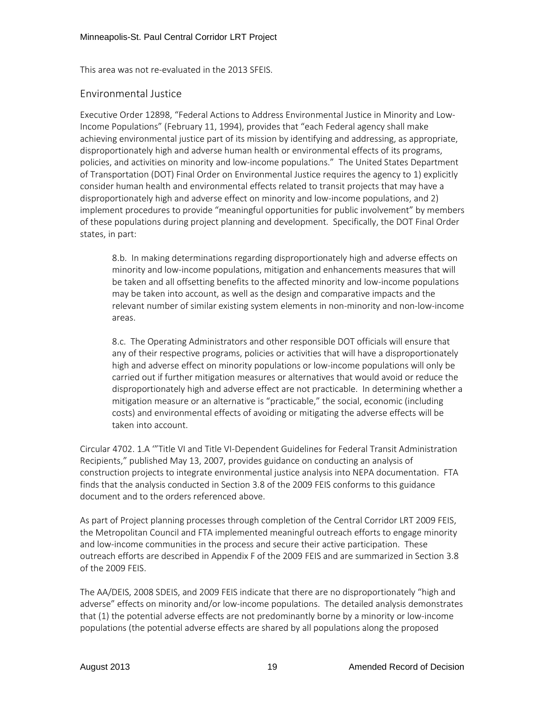This area was not re-evaluated in the 2013 SFEIS.

### Environmental Justice

Executive Order 12898, "Federal Actions to Address Environmental Justice in Minority and Low-Income Populations" (February 11, 1994), provides that "each Federal agency shall make achieving environmental justice part of its mission by identifying and addressing, as appropriate, disproportionately high and adverse human health or environmental effects of its programs, policies, and activities on minority and low-income populations." The United States Department of Transportation (DOT) Final Order on Environmental Justice requires the agency to 1) explicitly consider human health and environmental effects related to transit projects that may have a disproportionately high and adverse effect on minority and low-income populations, and 2) implement procedures to provide "meaningful opportunities for public involvement" by members of these populations during project planning and development. Specifically, the DOT Final Order states, in part:

8.b. In making determinations regarding disproportionately high and adverse effects on minority and low-income populations, mitigation and enhancements measures that will be taken and all offsetting benefits to the affected minority and low-income populations may be taken into account, as well as the design and comparative impacts and the relevant number of similar existing system elements in non-minority and non-low-income areas.

8.c. The Operating Administrators and other responsible DOT officials will ensure that any of their respective programs, policies or activities that will have a disproportionately high and adverse effect on minority populations or low-income populations will only be carried out if further mitigation measures or alternatives that would avoid or reduce the disproportionately high and adverse effect are not practicable. In determining whether a mitigation measure or an alternative is "practicable," the social, economic (including costs) and environmental effects of avoiding or mitigating the adverse effects will be taken into account.

Circular 4702. 1.A '"Title VI and Title VI-Dependent Guidelines for Federal Transit Administration Recipients," published May 13, 2007, provides guidance on conducting an analysis of construction projects to integrate environmental justice analysis into NEPA documentation. FTA finds that the analysis conducted in Section 3.8 of the 2009 FEIS conforms to this guidance document and to the orders referenced above.

As part of Project planning processes through completion of the Central Corridor LRT 2009 FEIS, the Metropolitan Council and FTA implemented meaningful outreach efforts to engage minority and low-income communities in the process and secure their active participation. These outreach efforts are described in Appendix F of the 2009 FEIS and are summarized in Section 3.8 of the 2009 FEIS.

The AA/DEIS, 2008 SDEIS, and 2009 FEIS indicate that there are no disproportionately "high and adverse" effects on minority and/or low-income populations. The detailed analysis demonstrates that (1) the potential adverse effects are not predominantly borne by a minority or low-income populations (the potential adverse effects are shared by all populations along the proposed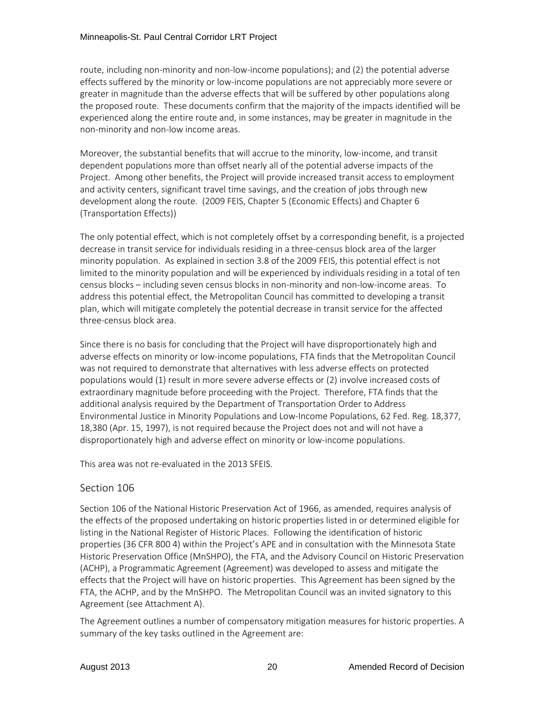route, including non-minority and non-low-income populations); and (2) the potential adverse effects suffered by the minority or low-income populations are not appreciably more severe or greater in magnitude than the adverse effects that will be suffered by other populations along the proposed route. These documents confirm that the majority of the impacts identified will be experienced along the entire route and, in some instances, may be greater in magnitude in the non-minority and non-low income areas.

Moreover, the substantial benefits that will accrue to the minority, low-income, and transit dependent populations more than offset nearly all of the potential adverse impacts of the Project. Among other benefits, the Project will provide increased transit access to employment and activity centers, significant travel time savings, and the creation of jobs through new development along the route. (2009 FEIS, Chapter 5 (Economic Effects) and Chapter 6 (Transportation Effects))

The only potential effect, which is not completely offset by a corresponding benefit, is a projected decrease in transit service for individuals residing in a three-census block area of the larger minority population. As explained in section 3.8 of the 2009 FEIS, this potential effect is not limited to the minority population and will be experienced by individuals residing in a total of ten census blocks – including seven census blocks in non-minority and non-low-income areas. To address this potential effect, the Metropolitan Council has committed to developing a transit plan, which will mitigate completely the potential decrease in transit service for the affected three-census block area.

Since there is no basis for concluding that the Project will have disproportionately high and adverse effects on minority or low-income populations, FTA finds that the Metropolitan Council was not required to demonstrate that alternatives with less adverse effects on protected populations would (1) result in more severe adverse effects or (2) involve increased costs of extraordinary magnitude before proceeding with the Project. Therefore, FTA finds that the additional analysis required by the Department of Transportation Order to Address Environmental Justice in Minority Populations and Low-Income Populations, 62 Fed. Reg. 18,377, 18,380 (Apr. 15, 1997), is not required because the Project does not and will not have a disproportionately high and adverse effect on minority or low-income populations.

This area was not re-evaluated in the 2013 SFEIS.

### Section 106

Section 106 of the National Historic Preservation Act of 1966, as amended, requires analysis of the effects of the proposed undertaking on historic properties listed in or determined eligible for listing in the National Register of Historic Places. Following the identification of historic properties (36 CFR 800 4) within the Project's APE and in consultation with the Minnesota State Historic Preservation Office (MnSHPO), the FTA, and the Advisory Council on Historic Preservation (ACHP), a Programmatic Agreement (Agreement) was developed to assess and mitigate the effects that the Project will have on historic properties. This Agreement has been signed by the FTA, the ACHP, and by the MnSHPO. The Metropolitan Council was an invited signatory to this Agreement (see Attachment A).

The Agreement outlines a number of compensatory mitigation measures for historic properties. A summary of the key tasks outlined in the Agreement are: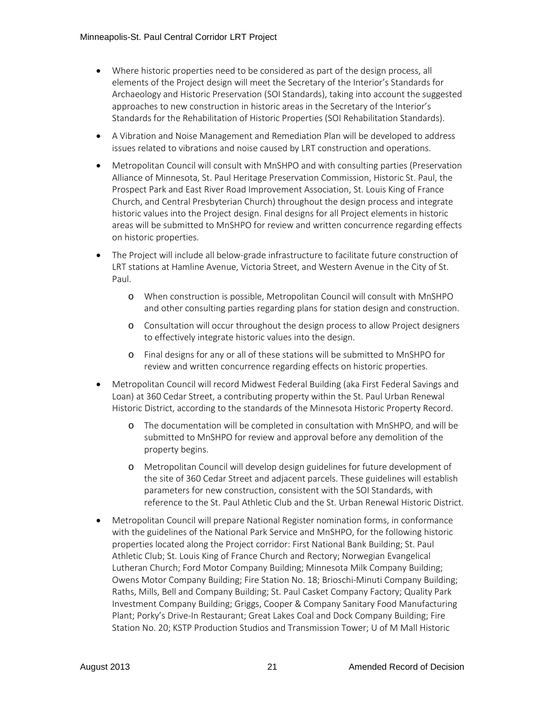- Where historic properties need to be considered as part of the design process, all elements of the Project design will meet the Secretary of the Interior's Standards for Archaeology and Historic Preservation (SOI Standards), taking into account the suggested approaches to new construction in historic areas in the Secretary of the Interior's Standards for the Rehabilitation of Historic Properties (SOI Rehabilitation Standards).
- A Vibration and Noise Management and Remediation Plan will be developed to address issues related to vibrations and noise caused by LRT construction and operations.
- Metropolitan Council will consult with MnSHPO and with consulting parties (Preservation Alliance of Minnesota, St. Paul Heritage Preservation Commission, Historic St. Paul, the Prospect Park and East River Road Improvement Association, St. Louis King of France Church, and Central Presbyterian Church) throughout the design process and integrate historic values into the Project design. Final designs for all Project elements in historic areas will be submitted to MnSHPO for review and written concurrence regarding effects on historic properties.
- The Project will include all below-grade infrastructure to facilitate future construction of LRT stations at Hamline Avenue, Victoria Street, and Western Avenue in the City of St. Paul.
	- o When construction is possible, Metropolitan Council will consult with MnSHPO and other consulting parties regarding plans for station design and construction.
	- o Consultation will occur throughout the design process to allow Project designers to effectively integrate historic values into the design.
	- o Final designs for any or all of these stations will be submitted to MnSHPO for review and written concurrence regarding effects on historic properties.
- Metropolitan Council will record Midwest Federal Building (aka First Federal Savings and Loan) at 360 Cedar Street, a contributing property within the St. Paul Urban Renewal Historic District, according to the standards of the Minnesota Historic Property Record.
	- o The documentation will be completed in consultation with MnSHPO, and will be submitted to MnSHPO for review and approval before any demolition of the property begins.
	- o Metropolitan Council will develop design guidelines for future development of the site of 360 Cedar Street and adjacent parcels. These guidelines will establish parameters for new construction, consistent with the SOI Standards, with reference to the St. Paul Athletic Club and the St. Urban Renewal Historic District.
- Metropolitan Council will prepare National Register nomination forms, in conformance with the guidelines of the National Park Service and MnSHPO, for the following historic properties located along the Project corridor: First National Bank Building; St. Paul Athletic Club; St. Louis King of France Church and Rectory; Norwegian Evangelical Lutheran Church; Ford Motor Company Building; Minnesota Milk Company Building; Owens Motor Company Building; Fire Station No. 18; Brioschi-Minuti Company Building; Raths, Mills, Bell and Company Building; St. Paul Casket Company Factory; Quality Park Investment Company Building; Griggs, Cooper & Company Sanitary Food Manufacturing Plant; Porky's Drive-In Restaurant; Great Lakes Coal and Dock Company Building; Fire Station No. 20; KSTP Production Studios and Transmission Tower; U of M Mall Historic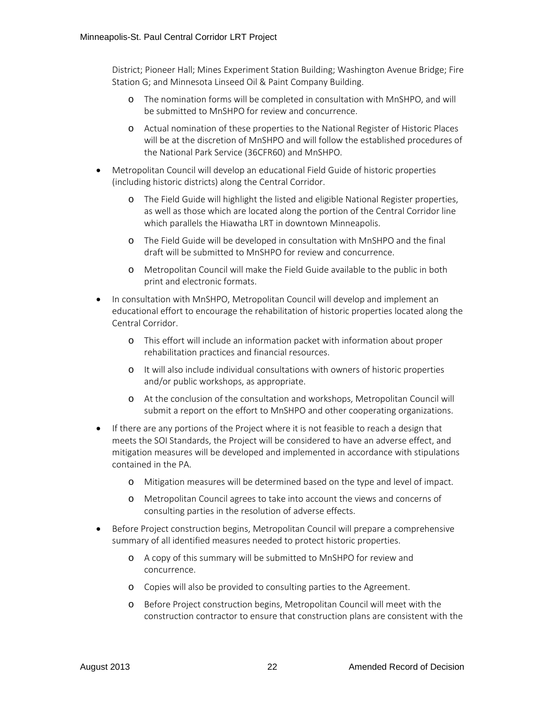District; Pioneer Hall; Mines Experiment Station Building; Washington Avenue Bridge; Fire Station G; and Minnesota Linseed Oil & Paint Company Building.

- o The nomination forms will be completed in consultation with MnSHPO, and will be submitted to MnSHPO for review and concurrence.
- o Actual nomination of these properties to the National Register of Historic Places will be at the discretion of MnSHPO and will follow the established procedures of the National Park Service (36CFR60) and MnSHPO.
- Metropolitan Council will develop an educational Field Guide of historic properties (including historic districts) along the Central Corridor.
	- o The Field Guide will highlight the listed and eligible National Register properties, as well as those which are located along the portion of the Central Corridor line which parallels the Hiawatha LRT in downtown Minneapolis.
	- o The Field Guide will be developed in consultation with MnSHPO and the final draft will be submitted to MnSHPO for review and concurrence.
	- o Metropolitan Council will make the Field Guide available to the public in both print and electronic formats.
- In consultation with MnSHPO, Metropolitan Council will develop and implement an educational effort to encourage the rehabilitation of historic properties located along the Central Corridor.
	- o This effort will include an information packet with information about proper rehabilitation practices and financial resources.
	- o It will also include individual consultations with owners of historic properties and/or public workshops, as appropriate.
	- o At the conclusion of the consultation and workshops, Metropolitan Council will submit a report on the effort to MnSHPO and other cooperating organizations.
- If there are any portions of the Project where it is not feasible to reach a design that meets the SOI Standards, the Project will be considered to have an adverse effect, and mitigation measures will be developed and implemented in accordance with stipulations contained in the PA.
	- o Mitigation measures will be determined based on the type and level of impact.
	- o Metropolitan Council agrees to take into account the views and concerns of consulting parties in the resolution of adverse effects.
- Before Project construction begins, Metropolitan Council will prepare a comprehensive summary of all identified measures needed to protect historic properties.
	- o A copy of this summary will be submitted to MnSHPO for review and concurrence.
	- o Copies will also be provided to consulting parties to the Agreement.
	- o Before Project construction begins, Metropolitan Council will meet with the construction contractor to ensure that construction plans are consistent with the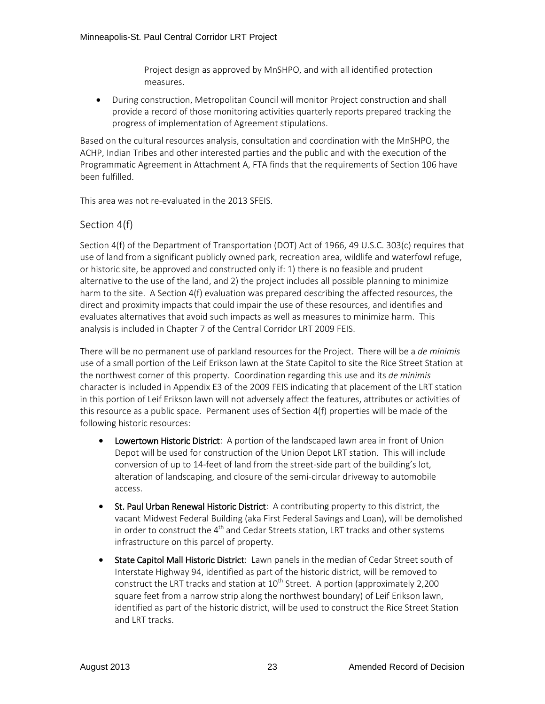Project design as approved by MnSHPO, and with all identified protection measures.

• During construction, Metropolitan Council will monitor Project construction and shall provide a record of those monitoring activities quarterly reports prepared tracking the progress of implementation of Agreement stipulations.

Based on the cultural resources analysis, consultation and coordination with the MnSHPO, the ACHP, Indian Tribes and other interested parties and the public and with the execution of the Programmatic Agreement in Attachment A, FTA finds that the requirements of Section 106 have been fulfilled.

This area was not re-evaluated in the 2013 SFEIS.

### Section 4(f)

Section 4(f) of the Department of Transportation (DOT) Act of 1966, 49 U.S.C. 303(c) requires that use of land from a significant publicly owned park, recreation area, wildlife and waterfowl refuge, or historic site, be approved and constructed only if: 1) there is no feasible and prudent alternative to the use of the land, and 2) the project includes all possible planning to minimize harm to the site. A Section 4(f) evaluation was prepared describing the affected resources, the direct and proximity impacts that could impair the use of these resources, and identifies and evaluates alternatives that avoid such impacts as well as measures to minimize harm. This analysis is included in Chapter 7 of the Central Corridor LRT 2009 FEIS.

There will be no permanent use of parkland resources for the Project. There will be a *de minimis*  use of a small portion of the Leif Erikson lawn at the State Capitol to site the Rice Street Station at the northwest corner of this property. Coordination regarding this use and its *de minimis*  character is included in Appendix E3 of the 2009 FEIS indicating that placement of the LRT station in this portion of Leif Erikson lawn will not adversely affect the features, attributes or activities of this resource as a public space. Permanent uses of Section 4(f) properties will be made of the following historic resources:

- Lowertown Historic District: A portion of the landscaped lawn area in front of Union Depot will be used for construction of the Union Depot LRT station. This will include conversion of up to 14-feet of land from the street-side part of the building's lot, alteration of landscaping, and closure of the semi-circular driveway to automobile access.
- St. Paul Urban Renewal Historic District: A contributing property to this district, the vacant Midwest Federal Building (aka First Federal Savings and Loan), will be demolished in order to construct the  $4<sup>th</sup>$  and Cedar Streets station, LRT tracks and other systems infrastructure on this parcel of property.
- State Capitol Mall Historic District: Lawn panels in the median of Cedar Street south of Interstate Highway 94, identified as part of the historic district, will be removed to construct the LRT tracks and station at  $10^{th}$  Street. A portion (approximately 2,200 square feet from a narrow strip along the northwest boundary) of Leif Erikson lawn, identified as part of the historic district, will be used to construct the Rice Street Station and LRT tracks.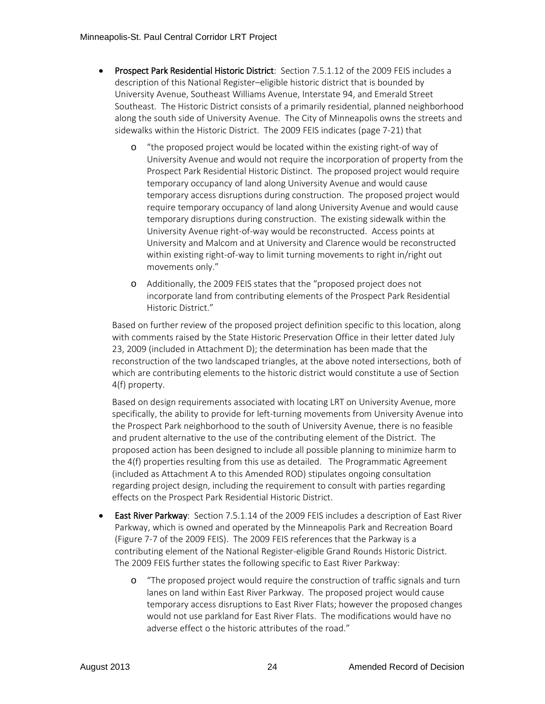- Prospect Park Residential Historic District: Section 7.5.1.12 of the 2009 FEIS includes a description of this National Register–eligible historic district that is bounded by University Avenue, Southeast Williams Avenue, Interstate 94, and Emerald Street Southeast. The Historic District consists of a primarily residential, planned neighborhood along the south side of University Avenue. The City of Minneapolis owns the streets and sidewalks within the Historic District. The 2009 FEIS indicates (page 7-21) that
	- "the proposed project would be located within the existing right-of way of University Avenue and would not require the incorporation of property from the Prospect Park Residential Historic Distinct. The proposed project would require temporary occupancy of land along University Avenue and would cause temporary access disruptions during construction. The proposed project would require temporary occupancy of land along University Avenue and would cause temporary disruptions during construction. The existing sidewalk within the University Avenue right-of-way would be reconstructed. Access points at University and Malcom and at University and Clarence would be reconstructed within existing right-of-way to limit turning movements to right in/right out movements only."
	- o Additionally, the 2009 FEIS states that the "proposed project does not incorporate land from contributing elements of the Prospect Park Residential Historic District."

Based on further review of the proposed project definition specific to this location, along with comments raised by the State Historic Preservation Office in their letter dated July 23, 2009 (included in Attachment D); the determination has been made that the reconstruction of the two landscaped triangles, at the above noted intersections, both of which are contributing elements to the historic district would constitute a use of Section 4(f) property.

Based on design requirements associated with locating LRT on University Avenue, more specifically, the ability to provide for left-turning movements from University Avenue into the Prospect Park neighborhood to the south of University Avenue, there is no feasible and prudent alternative to the use of the contributing element of the District. The proposed action has been designed to include all possible planning to minimize harm to the 4(f) properties resulting from this use as detailed. The Programmatic Agreement (included as Attachment A to this Amended ROD) stipulates ongoing consultation regarding project design, including the requirement to consult with parties regarding effects on the Prospect Park Residential Historic District.

- East River Parkway: Section 7.5.1.14 of the 2009 FEIS includes a description of East River Parkway, which is owned and operated by the Minneapolis Park and Recreation Board (Figure 7-7 of the 2009 FEIS). The 2009 FEIS references that the Parkway is a contributing element of the National Register-eligible Grand Rounds Historic District. The 2009 FEIS further states the following specific to East River Parkway:
	- o "The proposed project would require the construction of traffic signals and turn lanes on land within East River Parkway. The proposed project would cause temporary access disruptions to East River Flats; however the proposed changes would not use parkland for East River Flats. The modifications would have no adverse effect o the historic attributes of the road."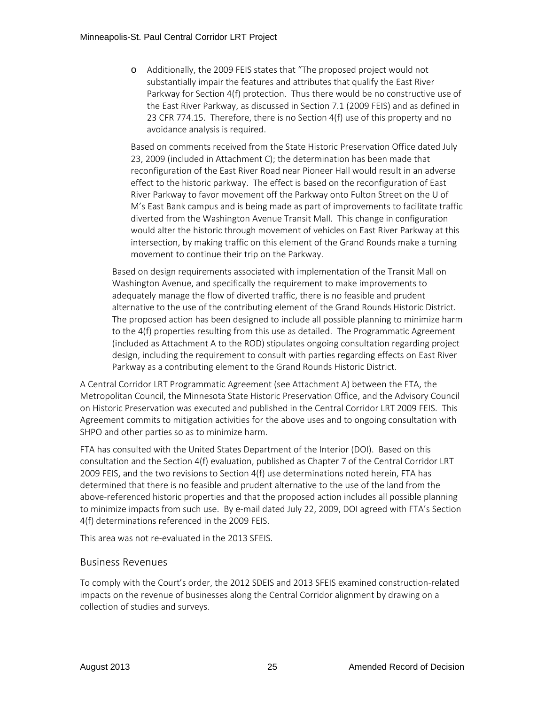o Additionally, the 2009 FEIS states that "The proposed project would not substantially impair the features and attributes that qualify the East River Parkway for Section 4(f) protection. Thus there would be no constructive use of the East River Parkway, as discussed in Section 7.1 (2009 FEIS) and as defined in 23 CFR 774.15. Therefore, there is no Section 4(f) use of this property and no avoidance analysis is required.

Based on comments received from the State Historic Preservation Office dated July 23, 2009 (included in Attachment C); the determination has been made that reconfiguration of the East River Road near Pioneer Hall would result in an adverse effect to the historic parkway. The effect is based on the reconfiguration of East River Parkway to favor movement off the Parkway onto Fulton Street on the U of M's East Bank campus and is being made as part of improvements to facilitate traffic diverted from the Washington Avenue Transit Mall. This change in configuration would alter the historic through movement of vehicles on East River Parkway at this intersection, by making traffic on this element of the Grand Rounds make a turning movement to continue their trip on the Parkway.

Based on design requirements associated with implementation of the Transit Mall on Washington Avenue, and specifically the requirement to make improvements to adequately manage the flow of diverted traffic, there is no feasible and prudent alternative to the use of the contributing element of the Grand Rounds Historic District. The proposed action has been designed to include all possible planning to minimize harm to the 4(f) properties resulting from this use as detailed. The Programmatic Agreement (included as Attachment A to the ROD) stipulates ongoing consultation regarding project design, including the requirement to consult with parties regarding effects on East River Parkway as a contributing element to the Grand Rounds Historic District.

A Central Corridor LRT Programmatic Agreement (see Attachment A) between the FTA, the Metropolitan Council, the Minnesota State Historic Preservation Office, and the Advisory Council on Historic Preservation was executed and published in the Central Corridor LRT 2009 FEIS. This Agreement commits to mitigation activities for the above uses and to ongoing consultation with SHPO and other parties so as to minimize harm.

FTA has consulted with the United States Department of the Interior (DOI). Based on this consultation and the Section 4(f) evaluation, published as Chapter 7 of the Central Corridor LRT 2009 FEIS, and the two revisions to Section 4(f) use determinations noted herein, FTA has determined that there is no feasible and prudent alternative to the use of the land from the above-referenced historic properties and that the proposed action includes all possible planning to minimize impacts from such use. By e-mail dated July 22, 2009, DOI agreed with FTA's Section 4(f) determinations referenced in the 2009 FEIS.

This area was not re-evaluated in the 2013 SFEIS.

### Business Revenues

To comply with the Court's order, the 2012 SDEIS and 2013 SFEIS examined construction-related impacts on the revenue of businesses along the Central Corridor alignment by drawing on a collection of studies and surveys.